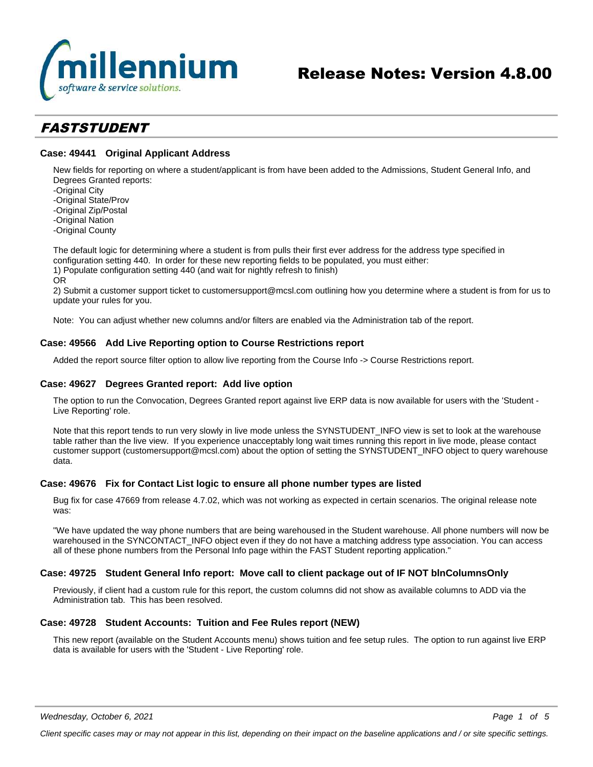

# *FASTSTUDENT*

## **Case: 49441 Original Applicant Address**

New fields for reporting on where a student/applicant is from have been added to the Admissions, Student General Info, and Degrees Granted reports:

-Original City

-Original State/Prov

-Original Zip/Postal

-Original Nation

-Original County

The default logic for determining where a student is from pulls their first ever address for the address type specified in configuration setting 440. In order for these new reporting fields to be populated, you must either: 1) Populate configuration setting 440 (and wait for nightly refresh to finish)

OR

2) Submit a customer support ticket to customersupport@mcsl.com outlining how you determine where a student is from for us to update your rules for you.

Note: You can adjust whether new columns and/or filters are enabled via the Administration tab of the report.

### **Case: 49566 Add Live Reporting option to Course Restrictions report**

Added the report source filter option to allow live reporting from the Course Info -> Course Restrictions report.

### **Case: 49627 Degrees Granted report: Add live option**

The option to run the Convocation, Degrees Granted report against live ERP data is now available for users with the 'Student - Live Reporting' role.

Note that this report tends to run very slowly in live mode unless the SYNSTUDENT\_INFO view is set to look at the warehouse table rather than the live view. If you experience unacceptably long wait times running this report in live mode, please contact customer support (customersupport@mcsl.com) about the option of setting the SYNSTUDENT\_INFO object to query warehouse data.

### **Case: 49676 Fix for Contact List logic to ensure all phone number types are listed**

Bug fix for case 47669 from release 4.7.02, which was not working as expected in certain scenarios. The original release note was:

"We have updated the way phone numbers that are being warehoused in the Student warehouse. All phone numbers will now be warehoused in the SYNCONTACT\_INFO object even if they do not have a matching address type association. You can access all of these phone numbers from the Personal Info page within the FAST Student reporting application."

### **Case: 49725 Student General Info report: Move call to client package out of IF NOT blnColumnsOnly**

Previously, if client had a custom rule for this report, the custom columns did not show as available columns to ADD via the Administration tab. This has been resolved.

### **Case: 49728 Student Accounts: Tuition and Fee Rules report (NEW)**

This new report (available on the Student Accounts menu) shows tuition and fee setup rules. The option to run against live ERP data is available for users with the 'Student - Live Reporting' role.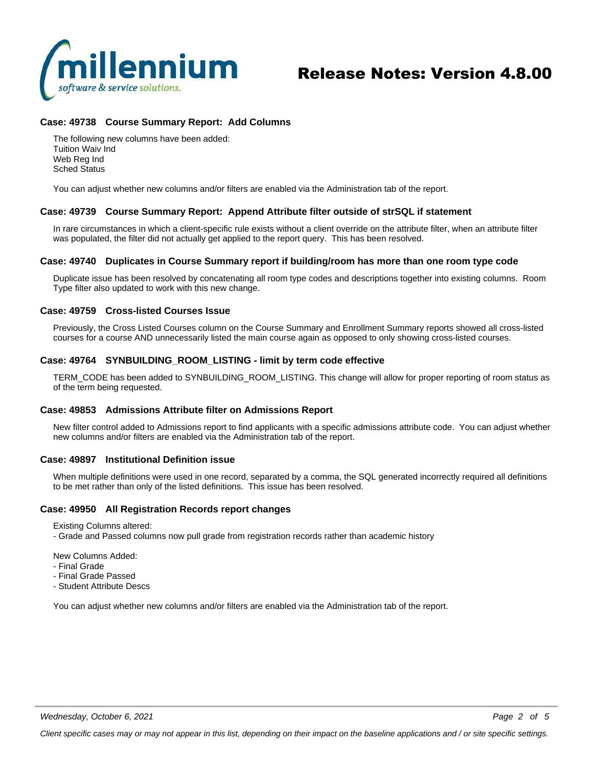

# Release Notes: Version 4.8.00

## **Case: 49738 Course Summary Report: Add Columns**

The following new columns have been added: Tuition Waiv Ind Web Reg Ind Sched Status

You can adjust whether new columns and/or filters are enabled via the Administration tab of the report.

### **Case: 49739 Course Summary Report: Append Attribute filter outside of strSQL if statement**

In rare circumstances in which a client-specific rule exists without a client override on the attribute filter, when an attribute filter was populated, the filter did not actually get applied to the report query. This has been resolved.

### **Case: 49740 Duplicates in Course Summary report if building/room has more than one room type code**

Duplicate issue has been resolved by concatenating all room type codes and descriptions together into existing columns. Room Type filter also updated to work with this new change.

### **Case: 49759 Cross-listed Courses Issue**

Previously, the Cross Listed Courses column on the Course Summary and Enrollment Summary reports showed all cross-listed courses for a course AND unnecessarily listed the main course again as opposed to only showing cross-listed courses.

### **Case: 49764 SYNBUILDING\_ROOM\_LISTING - limit by term code effective**

TERM\_CODE has been added to SYNBUILDING\_ROOM\_LISTING. This change will allow for proper reporting of room status as of the term being requested.

### **Case: 49853 Admissions Attribute filter on Admissions Report**

New filter control added to Admissions report to find applicants with a specific admissions attribute code. You can adjust whether new columns and/or filters are enabled via the Administration tab of the report.

### **Case: 49897 Institutional Definition issue**

When multiple definitions were used in one record, separated by a comma, the SQL generated incorrectly required all definitions to be met rather than only of the listed definitions. This issue has been resolved.

### **Case: 49950 All Registration Records report changes**

Existing Columns altered:

- Grade and Passed columns now pull grade from registration records rather than academic history

New Columns Added:

- Final Grade
- Final Grade Passed
- Student Attribute Descs

You can adjust whether new columns and/or filters are enabled via the Administration tab of the report.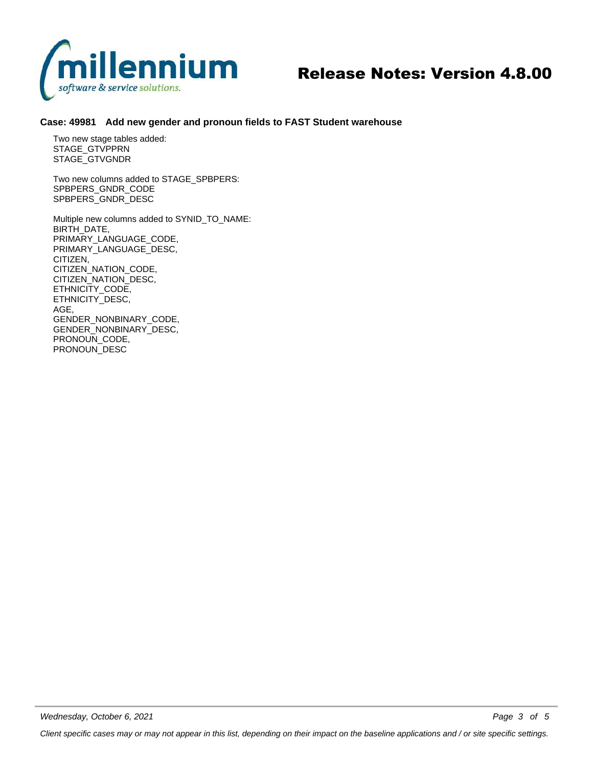

# Release Notes: Version 4.8.00

### **Case: 49981 Add new gender and pronoun fields to FAST Student warehouse**

Two new stage tables added: STAGE\_GTVPPRN STAGE\_GTVGNDR

Two new columns added to STAGE\_SPBPERS: SPBPERS\_GNDR\_CODE SPBPERS\_GNDR\_DESC

Multiple new columns added to SYNID\_TO\_NAME: BIRTH\_DATE, PRIMARY\_LANGUAGE\_CODE, PRIMARY\_LANGUAGE\_DESC, CITIZEN, CITIZEN\_NATION\_CODE, CITIZEN\_NATION\_DESC, ETHNICITY\_CODE, ETHNICITY\_DESC, AGE, GENDER\_NONBINARY\_CODE, GENDER\_NONBINARY\_DESC, PRONOUN\_CODE, PRONOUN\_DESC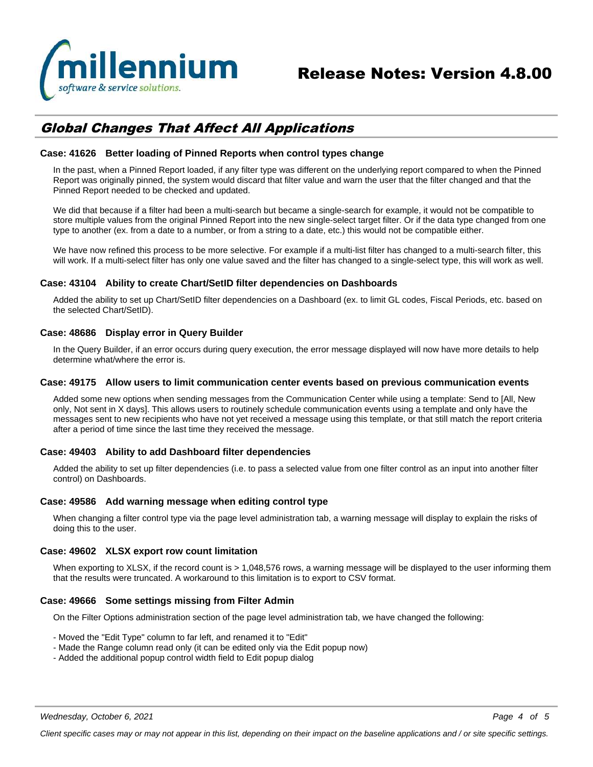

# *Global Changes That Affect All Applications*

### **Case: 41626 Better loading of Pinned Reports when control types change**

In the past, when a Pinned Report loaded, if any filter type was different on the underlying report compared to when the Pinned Report was originally pinned, the system would discard that filter value and warn the user that the filter changed and that the Pinned Report needed to be checked and updated.

We did that because if a filter had been a multi-search but became a single-search for example, it would not be compatible to store multiple values from the original Pinned Report into the new single-select target filter. Or if the data type changed from one type to another (ex. from a date to a number, or from a string to a date, etc.) this would not be compatible either.

We have now refined this process to be more selective. For example if a multi-list filter has changed to a multi-search filter, this will work. If a multi-select filter has only one value saved and the filter has changed to a single-select type, this will work as well.

### **Case: 43104 Ability to create Chart/SetID filter dependencies on Dashboards**

Added the ability to set up Chart/SetID filter dependencies on a Dashboard (ex. to limit GL codes, Fiscal Periods, etc. based on the selected Chart/SetID).

### **Case: 48686 Display error in Query Builder**

In the Query Builder, if an error occurs during query execution, the error message displayed will now have more details to help determine what/where the error is.

# **Case: 49175 Allow users to limit communication center events based on previous communication events**

Added some new options when sending messages from the Communication Center while using a template: Send to [All, New only, Not sent in X days]. This allows users to routinely schedule communication events using a template and only have the messages sent to new recipients who have not yet received a message using this template, or that still match the report criteria after a period of time since the last time they received the message.

### **Case: 49403 Ability to add Dashboard filter dependencies**

Added the ability to set up filter dependencies (i.e. to pass a selected value from one filter control as an input into another filter control) on Dashboards.

### **Case: 49586 Add warning message when editing control type**

When changing a filter control type via the page level administration tab, a warning message will display to explain the risks of doing this to the user.

### **Case: 49602 XLSX export row count limitation**

When exporting to XLSX, if the record count is > 1,048,576 rows, a warning message will be displayed to the user informing them that the results were truncated. A workaround to this limitation is to export to CSV format.

### **Case: 49666 Some settings missing from Filter Admin**

On the Filter Options administration section of the page level administration tab, we have changed the following:

- Moved the "Edit Type" column to far left, and renamed it to "Edit"
- Made the Range column read only (it can be edited only via the Edit popup now)
- Added the additional popup control width field to Edit popup dialog